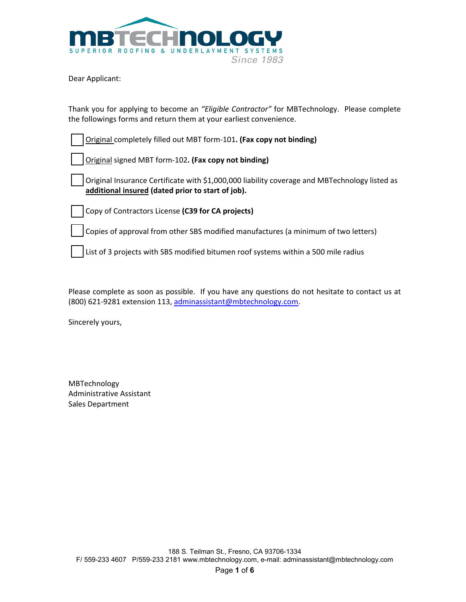

Dear Applicant:

Thank you for applying to become an *"Eligible Contractor"* for MBTechnology. Please complete the followings forms and return them at your earliest convenience.

| Original completely filled out MBT form-101. (Fax copy not binding)                                                                                |
|----------------------------------------------------------------------------------------------------------------------------------------------------|
| Original signed MBT form-102. (Fax copy not binding)                                                                                               |
| Original Insurance Certificate with \$1,000,000 liability coverage and MBTechnology listed as<br>additional insured (dated prior to start of job). |
| Copy of Contractors License (C39 for CA projects)                                                                                                  |
| Copies of approval from other SBS modified manufactures (a minimum of two letters)                                                                 |
| List of 3 projects with SBS modified bitumen roof systems within a 500 mile radius                                                                 |

Please complete as soon as possible. If you have any questions do not hesitate to contact us at (800) 621‐9281 extension 113, adminassistant@mbtechnology.com.

Sincerely yours,

| MBTechnology             |
|--------------------------|
| Administrative Assistant |
| Sales Department         |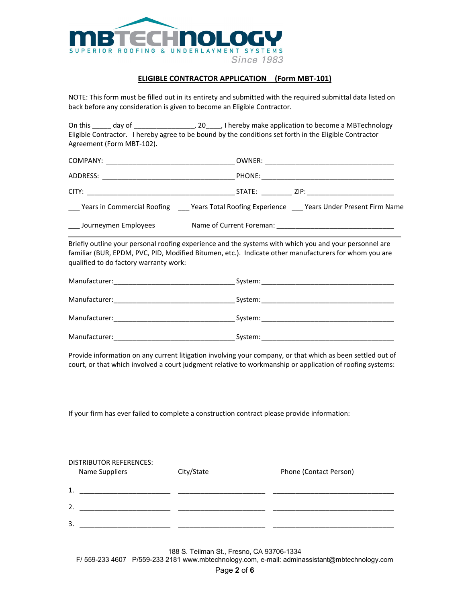

## **ELIGIBLE CONTRACTOR APPLICATION (Form MBT‐101)**

NOTE: This form must be filled out in its entirety and submitted with the required submittal data listed on back before any consideration is given to become an Eligible Contractor.

On this \_\_\_\_\_ day of \_\_\_\_\_\_\_\_\_\_\_\_\_\_\_\_, 20\_\_\_\_\_, I hereby make application to become a MBTechnology Eligible Contractor. I hereby agree to be bound by the conditions set forth in the Eligible Contractor Agreement (Form MBT‐102). COMPANY: \_\_\_\_\_\_\_\_\_\_\_\_\_\_\_\_\_\_\_\_\_\_\_\_\_\_\_\_\_\_\_\_\_\_ OWNER: \_\_\_\_\_\_\_\_\_\_\_\_\_\_\_\_\_\_\_\_\_\_\_\_\_\_\_\_\_\_\_\_\_\_ ADDRESS: \_\_\_\_\_\_\_\_\_\_\_\_\_\_\_\_\_\_\_\_\_\_\_\_\_\_\_\_\_\_\_\_\_\_\_ PHONE:\_\_\_\_\_\_\_\_\_\_\_\_\_\_\_\_\_\_\_\_\_\_\_\_\_\_\_\_\_\_\_\_\_\_\_ CITY: \_\_\_\_\_\_\_\_\_\_\_\_\_\_\_\_\_\_\_\_\_\_\_\_\_\_\_\_\_\_\_\_\_\_\_\_\_\_\_ STATE: \_\_\_\_\_\_\_\_ ZIP: \_\_\_\_\_\_\_\_\_\_\_\_\_\_\_\_\_\_\_\_\_\_\_ \_\_\_ Years in Commercial Roofing \_\_\_ Years Total Roofing Experience \_\_\_ Years Under Present Firm Name \_\_\_ Journeymen Employees Name of Current Foreman: \_\_\_\_\_\_\_\_\_\_\_\_\_\_\_\_\_\_\_\_\_\_\_\_\_\_\_\_\_\_\_ Briefly outline your personal roofing experience and the systems with which you and your personnel are familiar (BUR, EPDM, PVC, PID, Modified Bitumen, etc.). Indicate other manufacturers for whom you are qualified to do factory warranty work: Manufacturer:\_\_\_\_\_\_\_\_\_\_\_\_\_\_\_\_\_\_\_\_\_\_\_\_\_\_\_\_\_\_\_\_ System:\_\_\_\_\_\_\_\_\_\_\_\_\_\_\_\_\_\_\_\_\_\_\_\_\_\_\_\_\_\_\_\_\_\_\_ Manufacturer:\_\_\_\_\_\_\_\_\_\_\_\_\_\_\_\_\_\_\_\_\_\_\_\_\_\_\_\_\_\_\_\_ System:\_\_\_\_\_\_\_\_\_\_\_\_\_\_\_\_\_\_\_\_\_\_\_\_\_\_\_\_\_\_\_\_\_\_\_ Manufacturer: etc. and the system: etc. and system: etc. and system: etc. and system: etc. and a system: etc. a

Provide information on any current litigation involving your company, or that which as been settled out of court, or that which involved a court judgment relative to workmanship or application of roofing systems:

If your firm has ever failed to complete a construction contract please provide information:

Manufacturer:\_\_\_\_\_\_\_\_\_\_\_\_\_\_\_\_\_\_\_\_\_\_\_\_\_\_\_\_\_\_\_\_ System:\_\_\_\_\_\_\_\_\_\_\_\_\_\_\_\_\_\_\_\_\_\_\_\_\_\_\_\_\_\_\_\_\_\_\_

| <b>DISTRIBUTOR REFERENCES:</b> |            |                        |  |  |  |  |
|--------------------------------|------------|------------------------|--|--|--|--|
| <b>Name Suppliers</b>          | City/State | Phone (Contact Person) |  |  |  |  |
|                                |            |                        |  |  |  |  |
| 1.                             |            |                        |  |  |  |  |
|                                |            |                        |  |  |  |  |
| 2.                             |            |                        |  |  |  |  |
|                                |            |                        |  |  |  |  |
| 3.                             |            |                        |  |  |  |  |
|                                |            |                        |  |  |  |  |

188 S. Teilman St., Fresno, CA 93706-1334 F/ 559-233 4607 P/559-233 2181 www.mbtechnology.com, e-mail: adminassistant@mbtechnology.com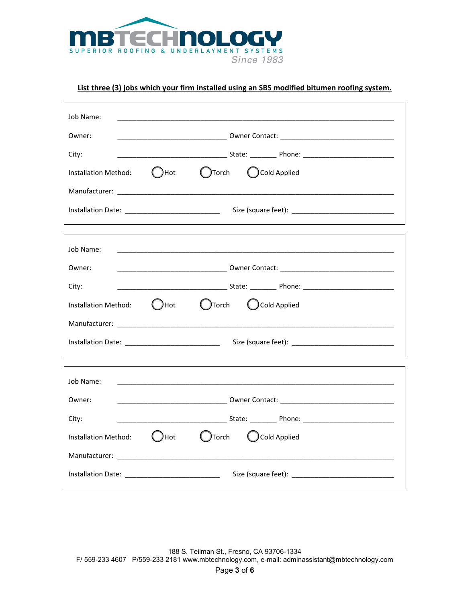

# **List three (3) jobs which your firm installed using an SBS modified bitumen roofing system.**

| Job Name:<br><u> 1989 - Johann Stein, marwolaethau a bhann an t-Amhair an t-Amhair an t-Amhair an t-Amhair an t-Amhair an t-A</u> |                                                      |  |  |  |
|-----------------------------------------------------------------------------------------------------------------------------------|------------------------------------------------------|--|--|--|
| Owner:                                                                                                                            |                                                      |  |  |  |
| <u>____________________________</u> State: ___________ Phone: _____________________________<br>City:                              |                                                      |  |  |  |
| Installation Method: <b>C</b> Hot                                                                                                 | ( )Torch ( )Cold Applied                             |  |  |  |
|                                                                                                                                   |                                                      |  |  |  |
|                                                                                                                                   |                                                      |  |  |  |
|                                                                                                                                   |                                                      |  |  |  |
| Job Name:                                                                                                                         |                                                      |  |  |  |
| Owner:                                                                                                                            |                                                      |  |  |  |
| City:                                                                                                                             |                                                      |  |  |  |
|                                                                                                                                   | Installation Method: ( )Hot ( )Torch ( )Cold Applied |  |  |  |
|                                                                                                                                   |                                                      |  |  |  |
|                                                                                                                                   |                                                      |  |  |  |
|                                                                                                                                   |                                                      |  |  |  |
| Job Name:<br><u> 1989 - Johann John Harry Harry Harry Harry Harry Harry Harry Harry Harry Harry Harry Harry Harry Harry Harry</u> |                                                      |  |  |  |
| Owner:                                                                                                                            |                                                      |  |  |  |
| City:                                                                                                                             |                                                      |  |  |  |
| Installation Method:                                                                                                              | Cald Applied<br>$\bigcup$ Hot                        |  |  |  |
|                                                                                                                                   |                                                      |  |  |  |
|                                                                                                                                   |                                                      |  |  |  |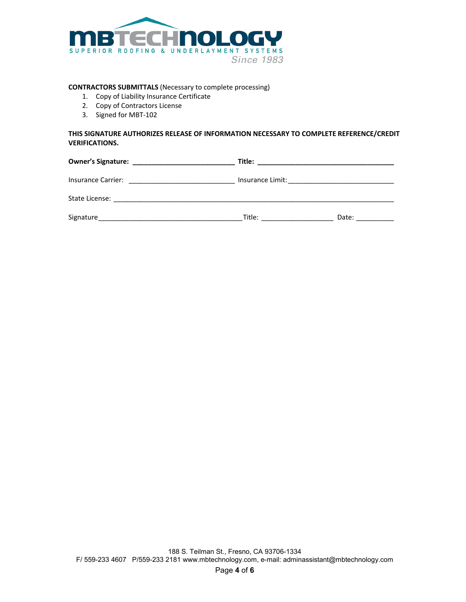

#### **CONTRACTORS SUBMITTALS** (Necessary to complete processing)

- 1. Copy of Liability Insurance Certificate
- 2. Copy of Contractors License
- 3. Signed for MBT‐102

## **THIS SIGNATURE AUTHORIZES RELEASE OF INFORMATION NECESSARY TO COMPLETE REFERENCE/CREDIT VERIFICATIONS.**

|                    | Title: |       |  |
|--------------------|--------|-------|--|
| Insurance Carrier: |        |       |  |
|                    |        |       |  |
| Signature          | Title: | Date: |  |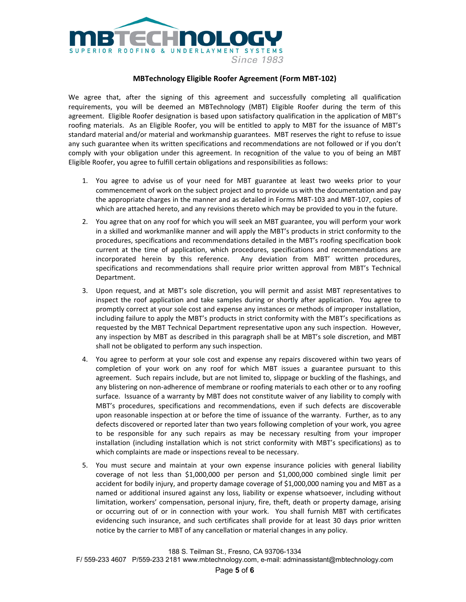

### **MBTechnology Eligible Roofer Agreement (Form MBT‐102)**

We agree that, after the signing of this agreement and successfully completing all qualification requirements, you will be deemed an MBTechnology (MBT) Eligible Roofer during the term of this agreement. Eligible Roofer designation is based upon satisfactory qualification in the application of MBT's roofing materials. As an Eligible Roofer, you will be entitled to apply to MBT for the issuance of MBT's standard material and/or material and workmanship guarantees. MBT reserves the right to refuse to issue any such guarantee when its written specifications and recommendations are not followed or if you don't comply with your obligation under this agreement. In recognition of the value to you of being an MBT Eligible Roofer, you agree to fulfill certain obligations and responsibilities as follows:

- 1. You agree to advise us of your need for MBT guarantee at least two weeks prior to your commencement of work on the subject project and to provide us with the documentation and pay the appropriate charges in the manner and as detailed in Forms MBT‐103 and MBT‐107, copies of which are attached hereto, and any revisions thereto which may be provided to you in the future.
- 2. You agree that on any roof for which you will seek an MBT guarantee, you will perform your work in a skilled and workmanlike manner and will apply the MBT's products in strict conformity to the procedures, specifications and recommendations detailed in the MBT's roofing specification book current at the time of application, which procedures, specifications and recommendations are incorporated herein by this reference. Any deviation from MBT' written procedures, specifications and recommendations shall require prior written approval from MBT's Technical Department.
- 3. Upon request, and at MBT's sole discretion, you will permit and assist MBT representatives to inspect the roof application and take samples during or shortly after application. You agree to promptly correct at your sole cost and expense any instances or methods of improper installation, including failure to apply the MBT's products in strict conformity with the MBT's specifications as requested by the MBT Technical Department representative upon any such inspection. However, any inspection by MBT as described in this paragraph shall be at MBT's sole discretion, and MBT shall not be obligated to perform any such inspection.
- 4. You agree to perform at your sole cost and expense any repairs discovered within two years of completion of your work on any roof for which MBT issues a guarantee pursuant to this agreement. Such repairs include, but are not limited to, slippage or buckling of the flashings, and any blistering on non‐adherence of membrane or roofing materials to each other or to any roofing surface. Issuance of a warranty by MBT does not constitute waiver of any liability to comply with MBT's procedures, specifications and recommendations, even if such defects are discoverable upon reasonable inspection at or before the time of issuance of the warranty. Further, as to any defects discovered or reported later than two years following completion of your work, you agree to be responsible for any such repairs as may be necessary resulting from your improper installation (including installation which is not strict conformity with MBT's specifications) as to which complaints are made or inspections reveal to be necessary.
- 5. You must secure and maintain at your own expense insurance policies with general liability coverage of not less than \$1,000,000 per person and \$1,000,000 combined single limit per accident for bodily injury, and property damage coverage of \$1,000,000 naming you and MBT as a named or additional insured against any loss, liability or expense whatsoever, including without limitation, workers' compensation, personal injury, fire, theft, death or property damage, arising or occurring out of or in connection with your work. You shall furnish MBT with certificates evidencing such insurance, and such certificates shall provide for at least 30 days prior written notice by the carrier to MBT of any cancellation or material changes in any policy.

F/ 559-233 4607 P/559-233 2181 www.mbtechnology.com, e-mail: adminassistant@mbtechnology.com